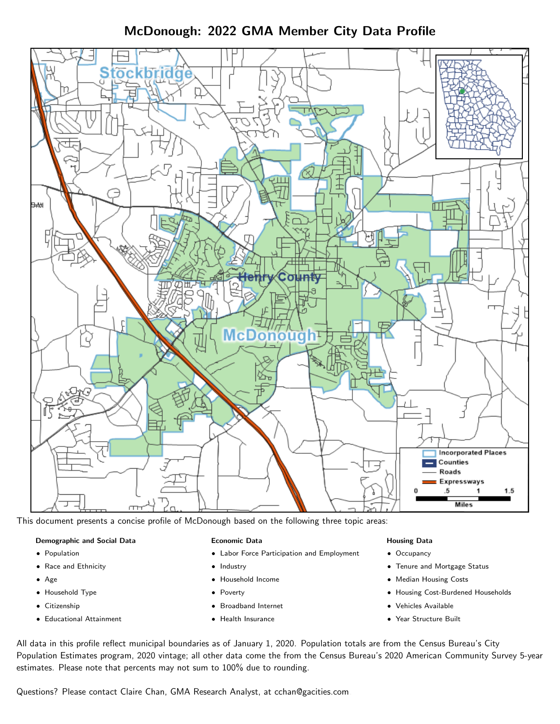McDonough: 2022 GMA Member City Data Profile



This document presents a concise profile of McDonough based on the following three topic areas:

#### Demographic and Social Data

- **•** Population
- Race and Ethnicity
- Age
- Household Type
- **Citizenship**
- Educational Attainment

#### Economic Data

- Labor Force Participation and Employment
- Industry
- Household Income
- Poverty
- Broadband Internet
- Health Insurance

#### Housing Data

- Occupancy
- Tenure and Mortgage Status
- Median Housing Costs
- Housing Cost-Burdened Households
- Vehicles Available
- Year Structure Built

All data in this profile reflect municipal boundaries as of January 1, 2020. Population totals are from the Census Bureau's City Population Estimates program, 2020 vintage; all other data come the from the Census Bureau's 2020 American Community Survey 5-year estimates. Please note that percents may not sum to 100% due to rounding.

Questions? Please contact Claire Chan, GMA Research Analyst, at [cchan@gacities.com.](mailto:cchan@gacities.com)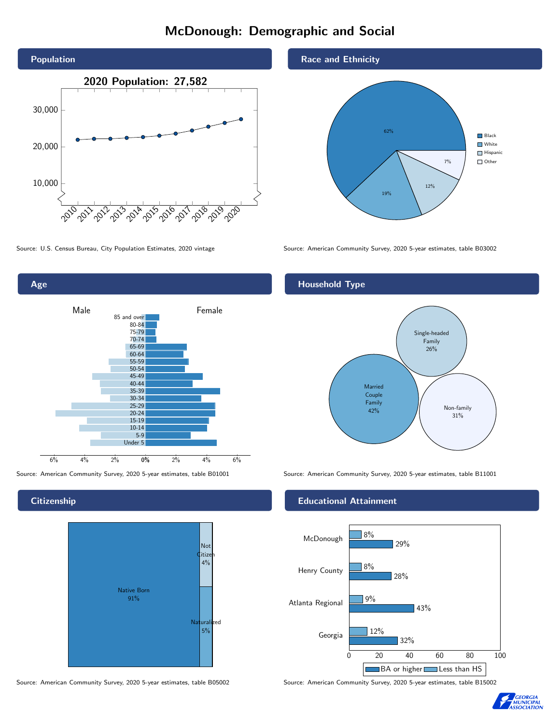# McDonough: Demographic and Social





**Citizenship** 



Source: American Community Survey, 2020 5-year estimates, table B05002 Source: American Community Survey, 2020 5-year estimates, table B15002

Race and Ethnicity



Source: U.S. Census Bureau, City Population Estimates, 2020 vintage Source: American Community Survey, 2020 5-year estimates, table B03002

## Household Type



Source: American Community Survey, 2020 5-year estimates, table B01001 Source: American Community Survey, 2020 5-year estimates, table B11001

#### Educational Attainment



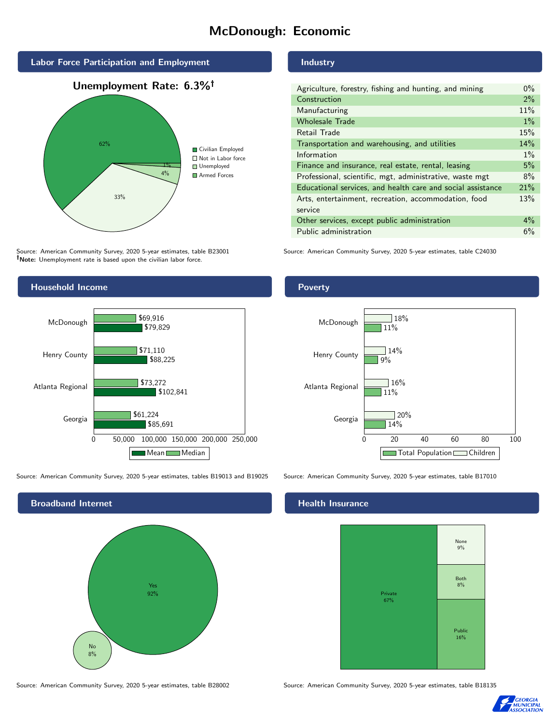# McDonough: Economic





Source: American Community Survey, 2020 5-year estimates, table B23001 Note: Unemployment rate is based upon the civilian labor force.



Source: American Community Survey, 2020 5-year estimates, tables B19013 and B19025 Source: American Community Survey, 2020 5-year estimates, table B17010



Source: American Community Survey, 2020 5-year estimates, table B28002 Source: American Community Survey, 2020 5-year estimates, table B18135

### Industry

| Agriculture, forestry, fishing and hunting, and mining      | $0\%$ |
|-------------------------------------------------------------|-------|
| Construction                                                | $2\%$ |
| Manufacturing                                               | 11%   |
| <b>Wholesale Trade</b>                                      | $1\%$ |
| Retail Trade                                                | 15%   |
| Transportation and warehousing, and utilities               | 14%   |
| Information                                                 | $1\%$ |
| Finance and insurance, real estate, rental, leasing         | 5%    |
| Professional, scientific, mgt, administrative, waste mgt    | 8%    |
| Educational services, and health care and social assistance | 21%   |
| Arts, entertainment, recreation, accommodation, food        | 13%   |
| service                                                     |       |
| Other services, except public administration                | $4\%$ |
| Public administration                                       | 6%    |

Source: American Community Survey, 2020 5-year estimates, table C24030

## Poverty



#### Health Insurance